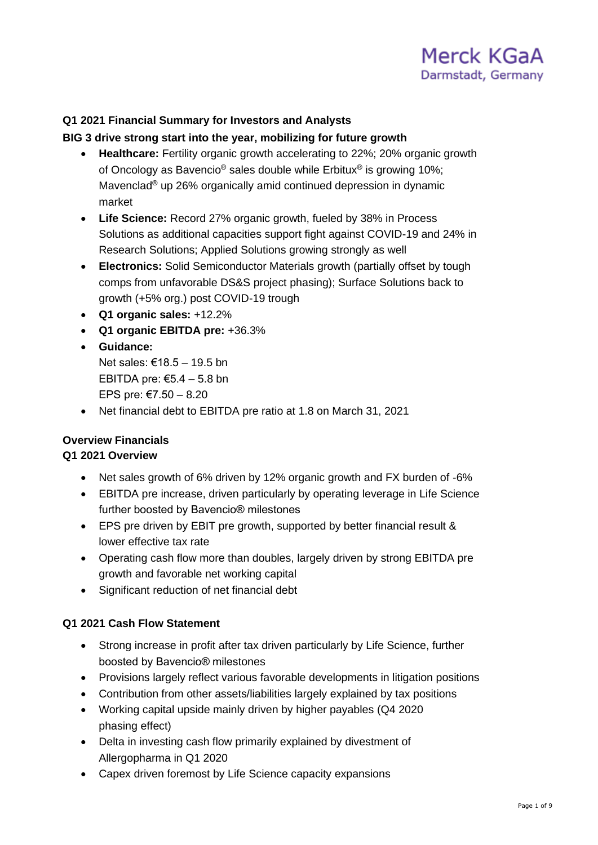

## **Q1 2021 Financial Summary for Investors and Analysts**

#### **BIG 3 drive strong start into the year, mobilizing for future growth**

- **Healthcare:** Fertility organic growth accelerating to 22%; 20% organic growth of Oncology as Bavencio<sup>®</sup> sales double while Erbitux® is growing 10%; Mavenclad® up 26% organically amid continued depression in dynamic market
- **Life Science:** Record 27% organic growth, fueled by 38% in Process Solutions as additional capacities support fight against COVID-19 and 24% in Research Solutions; Applied Solutions growing strongly as well
- **Electronics:** Solid Semiconductor Materials growth (partially offset by tough comps from unfavorable DS&S project phasing); Surface Solutions back to growth (+5% org.) post COVID-19 trough
- **Q1 organic sales:** +12.2%
- **Q1 organic EBITDA pre:** +36.3%
- **Guidance:** Net sales: €18.5 – 19.5 bn EBITDA pre: €5.4 – 5.8 bn EPS pre: €7.50 – 8.20
- Net financial debt to EBITDA pre ratio at 1.8 on March 31, 2021

## **Overview Financials**

## **Q1 2021 Overview**

- Net sales growth of 6% driven by 12% organic growth and FX burden of -6%
- EBITDA pre increase, driven particularly by operating leverage in Life Science further boosted by Bavencio® milestones
- EPS pre driven by EBIT pre growth, supported by better financial result & lower effective tax rate
- Operating cash flow more than doubles, largely driven by strong EBITDA pre growth and favorable net working capital
- Significant reduction of net financial debt

#### **Q1 2021 Cash Flow Statement**

- Strong increase in profit after tax driven particularly by Life Science, further boosted by Bavencio® milestones
- Provisions largely reflect various favorable developments in litigation positions
- Contribution from other assets/liabilities largely explained by tax positions
- Working capital upside mainly driven by higher payables (Q4 2020 phasing effect)
- Delta in investing cash flow primarily explained by divestment of Allergopharma in Q1 2020
- Capex driven foremost by Life Science capacity expansions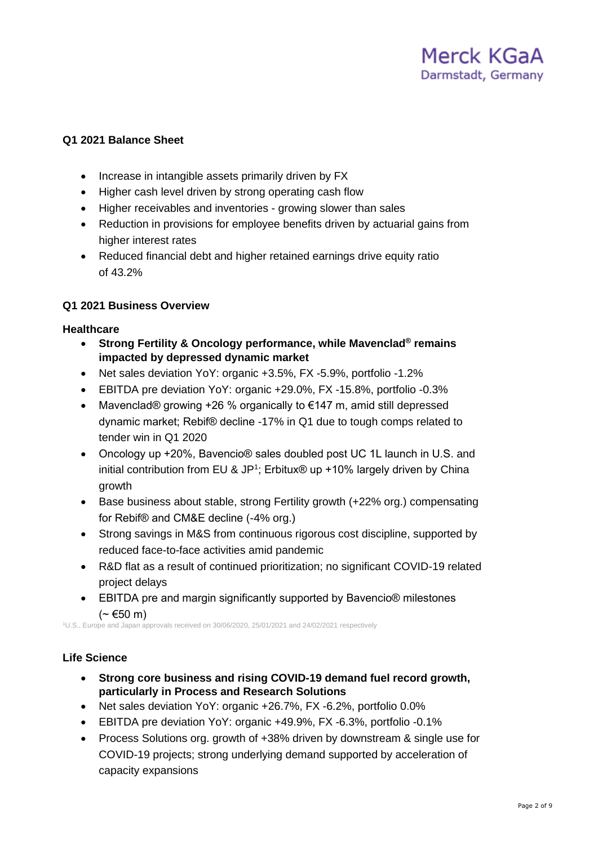## **Q1 2021 Balance Sheet**

- Increase in intangible assets primarily driven by FX
- Higher cash level driven by strong operating cash flow
- Higher receivables and inventories growing slower than sales
- Reduction in provisions for employee benefits driven by actuarial gains from higher interest rates
- Reduced financial debt and higher retained earnings drive equity ratio of 43.2%

#### **Q1 2021 Business Overview**

#### **Healthcare**

- **Strong Fertility & Oncology performance, while Mavenclad® remains impacted by depressed dynamic market**
- Net sales deviation YoY: organic +3.5%, FX -5.9%, portfolio -1.2%
- EBITDA pre deviation YoY: organic +29.0%, FX -15.8%, portfolio -0.3%
- Mavenclad® growing +26 % organically to €147 m, amid still depressed dynamic market; Rebif® decline -17% in Q1 due to tough comps related to tender win in Q1 2020
- Oncology up +20%, Bavencio® sales doubled post UC 1L launch in U.S. and initial contribution from EU & JP<sup>1</sup>; Erbitux® up +10% largely driven by China growth
- Base business about stable, strong Fertility growth (+22% org.) compensating for Rebif® and CM&E decline (-4% org.)
- Strong savings in M&S from continuous rigorous cost discipline, supported by reduced face-to-face activities amid pandemic
- R&D flat as a result of continued prioritization; no significant COVID-19 related project delays
- EBITDA pre and margin significantly supported by Bavencio® milestones  $($  ∼ €50 m)

<sup>1</sup>U.S., Europe and Japan approvals received on 30/06/2020, 25/01/2021 and 24/02/2021 respectively

#### **Life Science**

- **Strong core business and rising COVID-19 demand fuel record growth, particularly in Process and Research Solutions**
- Net sales deviation YoY: organic +26.7%, FX -6.2%, portfolio 0.0%
- EBITDA pre deviation YoY: organic +49.9%, FX -6.3%, portfolio -0.1%
- Process Solutions org. growth of +38% driven by downstream & single use for COVID-19 projects; strong underlying demand supported by acceleration of capacity expansions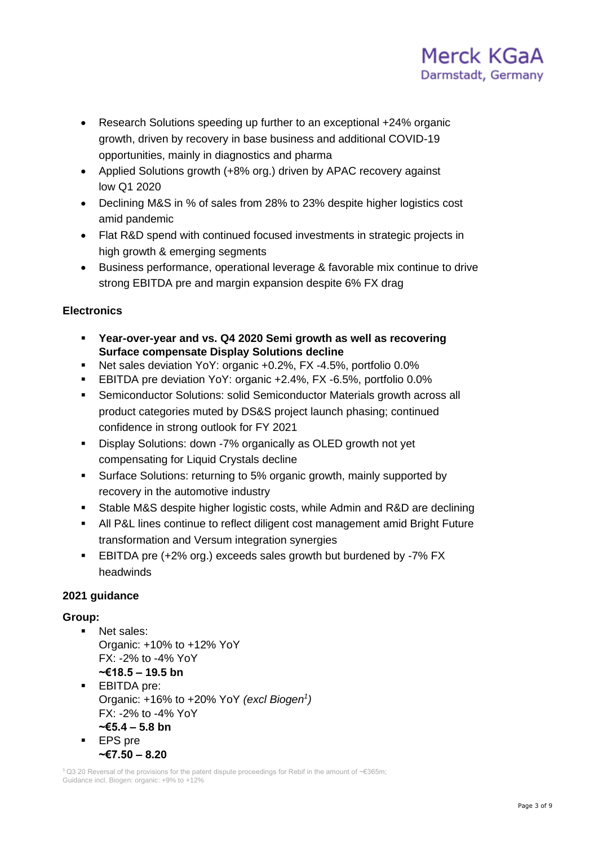

- Research Solutions speeding up further to an exceptional +24% organic growth, driven by recovery in base business and additional COVID-19 opportunities, mainly in diagnostics and pharma
- Applied Solutions growth (+8% org.) driven by APAC recovery against low Q1 2020
- Declining M&S in % of sales from 28% to 23% despite higher logistics cost amid pandemic
- Flat R&D spend with continued focused investments in strategic projects in high growth & emerging segments
- Business performance, operational leverage & favorable mix continue to drive strong EBITDA pre and margin expansion despite 6% FX drag

## **Electronics**

- **Year-over-year and vs. Q4 2020 Semi growth as well as recovering Surface compensate Display Solutions decline**
- Net sales deviation YoY: organic +0.2%, FX -4.5%, portfolio 0.0%
- EBITDA pre deviation YoY: organic +2.4%, FX -6.5%, portfolio 0.0%
- Semiconductor Solutions: solid Semiconductor Materials growth across all product categories muted by DS&S project launch phasing; continued confidence in strong outlook for FY 2021
- Display Solutions: down -7% organically as OLED growth not yet compensating for Liquid Crystals decline
- Surface Solutions: returning to 5% organic growth, mainly supported by recovery in the automotive industry
- Stable M&S despite higher logistic costs, while Admin and R&D are declining
- All P&L lines continue to reflect diligent cost management amid Bright Future transformation and Versum integration synergies
- EBITDA pre (+2% org.) exceeds sales growth but burdened by -7% FX headwinds

## **2021 guidance**

## **Group:**

- Net sales: Organic: +10% to +12% YoY FX: -2% to -4% YoY **~€18.5 – 19.5 bn**
- EBITDA pre: Organic: +16% to +20% YoY *(excl Biogen<sup>1</sup> )*  $FX - 2\%$  to -4% YoY **~€5.4 – 5.8 bn**
- EPS pre **~€7.50 – 8.20**

<sup>1</sup>Q3 20 Reversal of the provisions for the patent dispute proceedings for Rebif in the amount of ~€365m; Guidance incl. Biogen: organic: +9% to +12%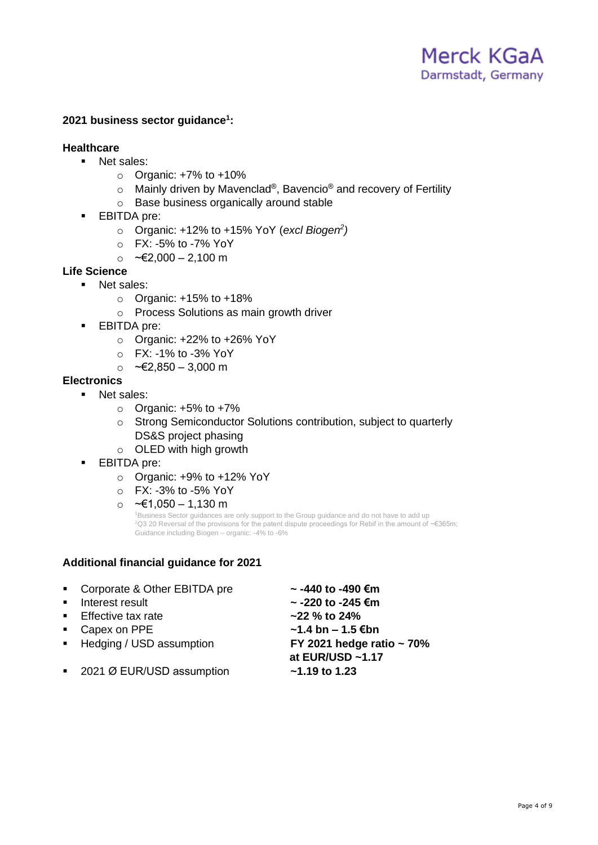## **2021 business sector guidance<sup>1</sup> :**

## **Healthcare**

- Net sales:
	- $\circ$  Organic: +7% to +10%
	- $\circ$  Mainly driven by Mavenclad®, Bavencio® and recovery of Fertility
	- o Base business organically around stable
- EBITDA pre:
	- o Organic: +12% to +15% YoY (*excl Biogen<sup>2</sup> )*
	- o FX: -5% to -7% YoY
	- o ~€2,000 2,100 m

## **Life Science**

- Net sales:
	- $\circ$  Organic: +15% to +18%
	- o Process Solutions as main growth driver
- **•** EBITDA pre:
	- $\circ$  Organic: +22% to +26% YoY
	- o FX: -1% to -3% YoY
	- o ~€2,850 3,000 m

## **Electronics**

- Net sales:
	- $\circ$  Organic: +5% to +7%
	- o Strong Semiconductor Solutions contribution, subject to quarterly DS&S project phasing
	- o OLED with high growth
- **EBITDA** pre:
	- o Organic: +9% to +12% YoY
	- o FX: -3% to -5% YoY
	- o ~€1,050 1,130 m

<sup>1</sup>Business Sector guidances are only support to the Group guidance and do not have to add up <sup>2</sup>Q3 20 Reversal of the provisions for the patent dispute proceedings for Rebif in the amount of ~€365m; Guidance including Biogen – organic: -4% to -6%

## **Additional financial guidance for 2021**

| • Corporate & Other EBITDA pre | $\sim$ -440 to -490 €m              |
|--------------------------------|-------------------------------------|
| • Interest result              | $\sim$ -220 to -245 €m              |
| • Effective tax rate           | $-22$ % to 24%                      |
| • Capex on PPE                 | $~1.4 \text{ bn} - 1.5 \text{ €bn}$ |
| ■ Hedging / USD assumption     | FY 2021 hedge ratio $\sim$ 70%      |
|                                | at EUR/USD ~1.17                    |
| ■ 2021 Ø EUR/USD assumption    | $-1.19$ to 1.23                     |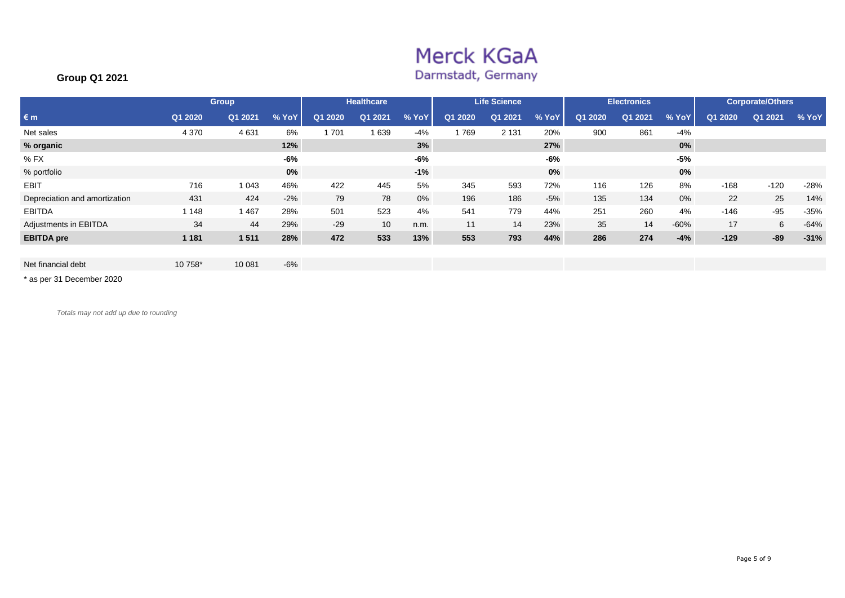# Merck KGaA

## Darmstadt, Germany

## **Group Q1 2021**

|                               |         | <b>Group</b> |       |         | <b>Healthcare</b> |       |         | <b>Life Science</b> |       |         | <b>Electronics</b> |        |         | <b>Corporate/Others</b> |        |
|-------------------------------|---------|--------------|-------|---------|-------------------|-------|---------|---------------------|-------|---------|--------------------|--------|---------|-------------------------|--------|
| $\varepsilon$ m               | Q1 2020 | Q1 2021      | % YoY | Q1 2020 | Q1 2021           | % YoY | Q1 2020 | Q1 2021             | % YoY | Q1 2020 | Q1 2021            | % YoY  | Q1 2020 | Q1 2021                 | % YoY  |
| Net sales                     | 4 3 7 0 | 4 6 3 1      | 6%    | 701     | 639               | $-4%$ | 769     | 2 1 3 1             | 20%   | 900     | 861                | $-4%$  |         |                         |        |
| % organic                     |         |              | 12%   |         |                   | 3%    |         |                     | 27%   |         |                    | $0\%$  |         |                         |        |
| $%$ FX                        |         |              | -6%   |         |                   | $-6%$ |         |                     | -6%   |         |                    | $-5%$  |         |                         |        |
| % portfolio                   |         |              | 0%    |         |                   | $-1%$ |         |                     | 0%    |         |                    | 0%     |         |                         |        |
| <b>EBIT</b>                   | 716     | 043          | 46%   | 422     | 445               | 5%    | 345     | 593                 | 72%   | 116     | 126                | 8%     | $-168$  | $-120$                  | $-28%$ |
| Depreciation and amortization | 431     | 424          | $-2%$ | 79      | 78                | 0%    | 196     | 186                 | $-5%$ | 135     | 134                | 0%     | 22      | 25                      | 14%    |
| <b>EBITDA</b>                 | 1 1 4 8 | .467         | 28%   | 501     | 523               | 4%    | 541     | 779                 | 44%   | 251     | 260                | 4%     | -146    | $-95$                   | $-35%$ |
| Adjustments in EBITDA         | 34      | 44           | 29%   | $-29$   | 10                | n.m.  | 11      | 14                  | 23%   | 35      | 14                 | $-60%$ | 17      | 6                       | $-64%$ |
| <b>EBITDA</b> pre             | 1 1 8 1 | 1511         | 28%   | 472     | 533               | 13%   | 553     | 793                 | 44%   | 286     | 274                | $-4%$  | $-129$  | $-89$                   | $-31%$ |

\* as per 31 December 2020

*Totals may not add up due to rounding*

Net financial debt 10 758\* 10 081 -6%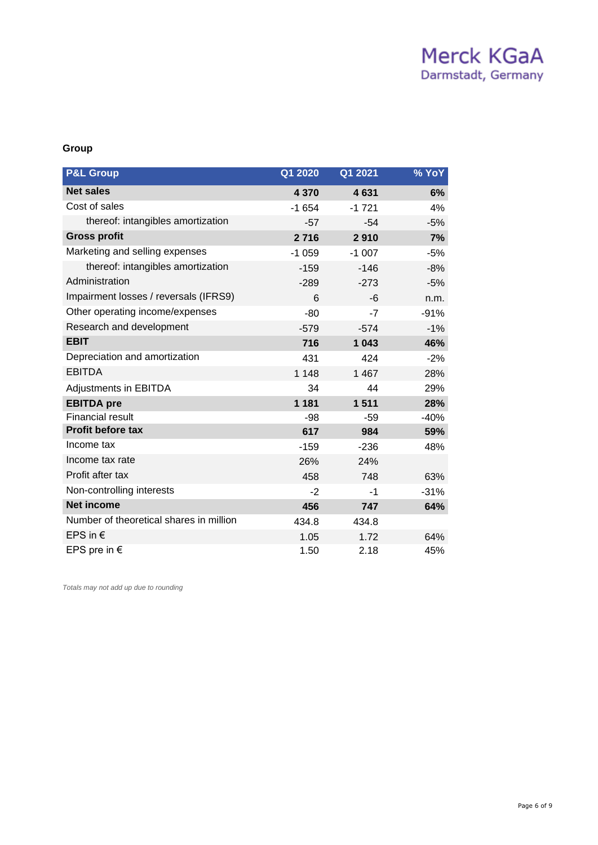## Merck KGaA Darmstadt, Germany

#### **Group**

| <b>P&amp;L Group</b>                    | Q1 2020 | Q1 2021 | <b>% YoY</b> |
|-----------------------------------------|---------|---------|--------------|
| <b>Net sales</b>                        | 4 3 7 0 | 4631    | 6%           |
| Cost of sales                           | $-1654$ | $-1721$ | 4%           |
| thereof: intangibles amortization       | $-57$   | $-54$   | $-5%$        |
| <b>Gross profit</b>                     | 2716    | 2910    | 7%           |
| Marketing and selling expenses          | $-1059$ | $-1007$ | $-5%$        |
| thereof: intangibles amortization       | $-159$  | $-146$  | $-8%$        |
| Administration                          | $-289$  | $-273$  | $-5%$        |
| Impairment losses / reversals (IFRS9)   | 6       | -6      | n.m.         |
| Other operating income/expenses         | $-80$   | $-7$    | $-91%$       |
| Research and development                | $-579$  | $-574$  | $-1%$        |
| <b>EBIT</b>                             | 716     | 1 0 4 3 | 46%          |
| Depreciation and amortization           | 431     | 424     | $-2%$        |
| <b>EBITDA</b>                           | 1 1 4 8 | 1 4 6 7 | 28%          |
| <b>Adjustments in EBITDA</b>            | 34      | 44      | 29%          |
| <b>EBITDA</b> pre                       | 1 1 8 1 | 1511    | 28%          |
| <b>Financial result</b>                 | $-98$   | $-59$   | $-40%$       |
| Profit before tax                       | 617     | 984     | 59%          |
| Income tax                              | $-159$  | $-236$  | 48%          |
| Income tax rate                         | 26%     | 24%     |              |
| Profit after tax                        | 458     | 748     | 63%          |
| Non-controlling interests               | $-2$    | $-1$    | $-31%$       |
| <b>Net income</b>                       | 456     | 747     | 64%          |
| Number of theoretical shares in million | 434.8   | 434.8   |              |
| EPS in $\epsilon$                       | 1.05    | 1.72    | 64%          |
| EPS pre in $\epsilon$                   | 1.50    | 2.18    | 45%          |

*Totals may not add up due to rounding*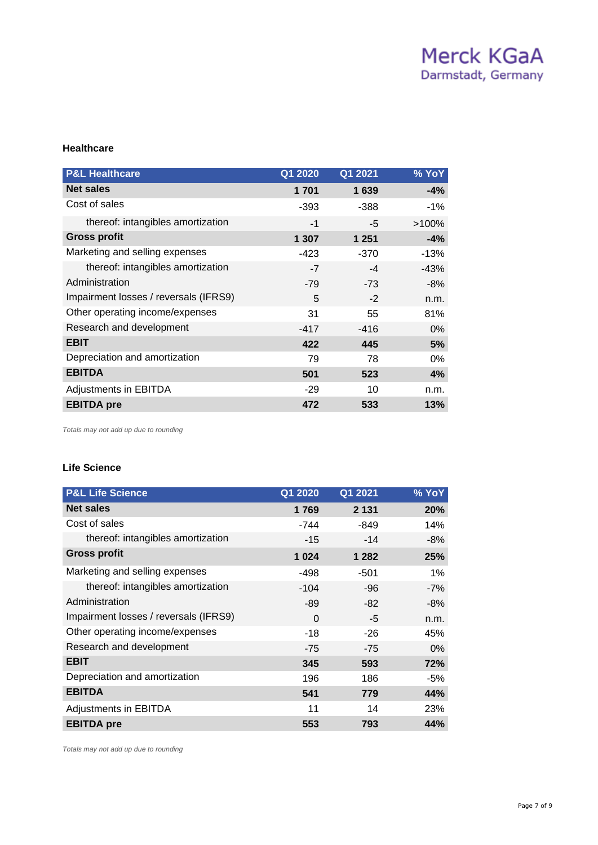#### **Healthcare**

| <b>P&amp;L Healthcare</b>             | Q1 2020 | Q1 2021 | % YoY    |
|---------------------------------------|---------|---------|----------|
| <b>Net sales</b>                      | 1 701   | 1639    | $-4%$    |
| Cost of sales                         | $-393$  | -388    | $-1%$    |
| thereof: intangibles amortization     | $-1$    | -5      | $>100\%$ |
| <b>Gross profit</b>                   | 1 307   | 1 2 5 1 | $-4%$    |
| Marketing and selling expenses        | -423    | -370    | $-13%$   |
| thereof: intangibles amortization     | $-7$    | -4      | $-43%$   |
| Administration                        | $-79$   | $-73$   | $-8%$    |
| Impairment losses / reversals (IFRS9) | 5       | $-2$    | n.m.     |
| Other operating income/expenses       | 31      | 55      | 81%      |
| Research and development              | $-417$  | $-416$  | $0\%$    |
| <b>EBIT</b>                           | 422     | 445     | 5%       |
| Depreciation and amortization         | 79      | 78      | 0%       |
| <b>EBITDA</b>                         | 501     | 523     | 4%       |
| <b>Adjustments in EBITDA</b>          | $-29$   | 10      | n.m.     |
| <b>EBITDA</b> pre                     | 472     | 533     | 13%      |

*Totals may not add up due to rounding*

#### **Life Science**

| <b>P&amp;L Life Science</b>           | Q1 2020  | Q1 2021 | % YoY |
|---------------------------------------|----------|---------|-------|
| <b>Net sales</b>                      | 1769     | 2 1 3 1 | 20%   |
| Cost of sales                         | -744     | -849    | 14%   |
| thereof: intangibles amortization     | $-15$    | $-14$   | $-8%$ |
| <b>Gross profit</b>                   | 1 0 2 4  | 1 2 8 2 | 25%   |
| Marketing and selling expenses        | -498     | $-501$  | 1%    |
| thereof: intangibles amortization     | $-104$   | -96     | $-7%$ |
| Administration                        | -89      | $-82$   | $-8%$ |
| Impairment losses / reversals (IFRS9) | $\Omega$ | $-5$    | n.m.  |
| Other operating income/expenses       | $-18$    | -26     | 45%   |
| Research and development              | $-75$    | $-75$   | $0\%$ |
| <b>EBIT</b>                           | 345      | 593     | 72%   |
| Depreciation and amortization         | 196      | 186     | -5%   |
| <b>EBITDA</b>                         | 541      | 779     | 44%   |
| <b>Adjustments in EBITDA</b>          | 11       | 14      | 23%   |
| <b>EBITDA</b> pre                     | 553      | 793     | 44%   |

*Totals may not add up due to rounding*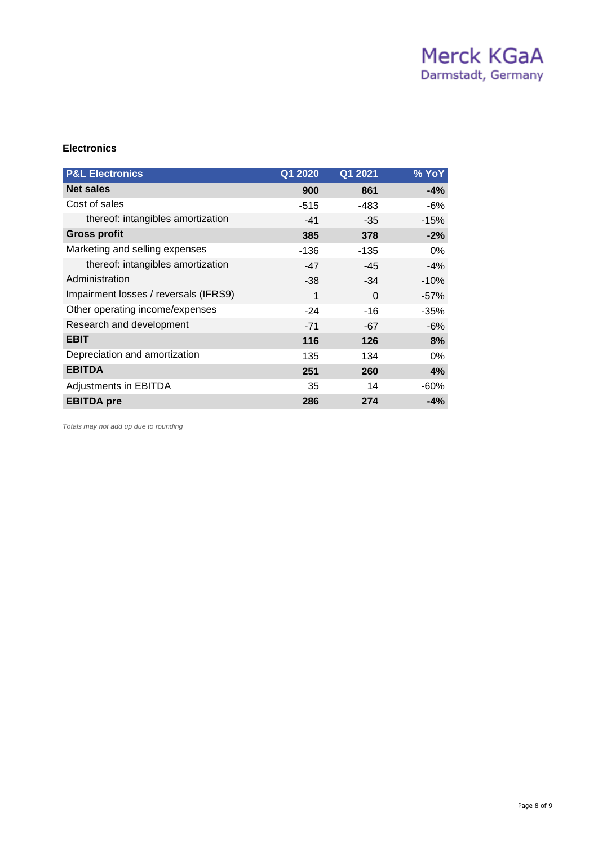## **Electronics**

| <b>P&amp;L Electronics</b>            | Q1 2020 | Q1 2021  | % YoY  |
|---------------------------------------|---------|----------|--------|
| <b>Net sales</b>                      | 900     | 861      | $-4%$  |
| Cost of sales                         | -515    | $-483$   | -6%    |
| thereof: intangibles amortization     | $-41$   | $-35$    | $-15%$ |
| <b>Gross profit</b>                   | 385     | 378      | $-2%$  |
| Marketing and selling expenses        | -136    | -135     | 0%     |
| thereof: intangibles amortization     | $-47$   | $-45$    | $-4%$  |
| Administration                        | $-38$   | $-34$    | $-10%$ |
| Impairment losses / reversals (IFRS9) | 1       | $\Omega$ | $-57%$ |
| Other operating income/expenses       | $-24$   | -16      | $-35%$ |
| Research and development              | $-71$   | $-67$    | $-6%$  |
| <b>EBIT</b>                           | 116     | 126      | 8%     |
| Depreciation and amortization         | 135     | 134      | $0\%$  |
| <b>EBITDA</b>                         | 251     | 260      | 4%     |
| Adjustments in EBITDA                 | 35      | 14       | $-60%$ |
| <b>EBITDA</b> pre                     | 286     | 274      | $-4%$  |

*Totals may not add up due to rounding*